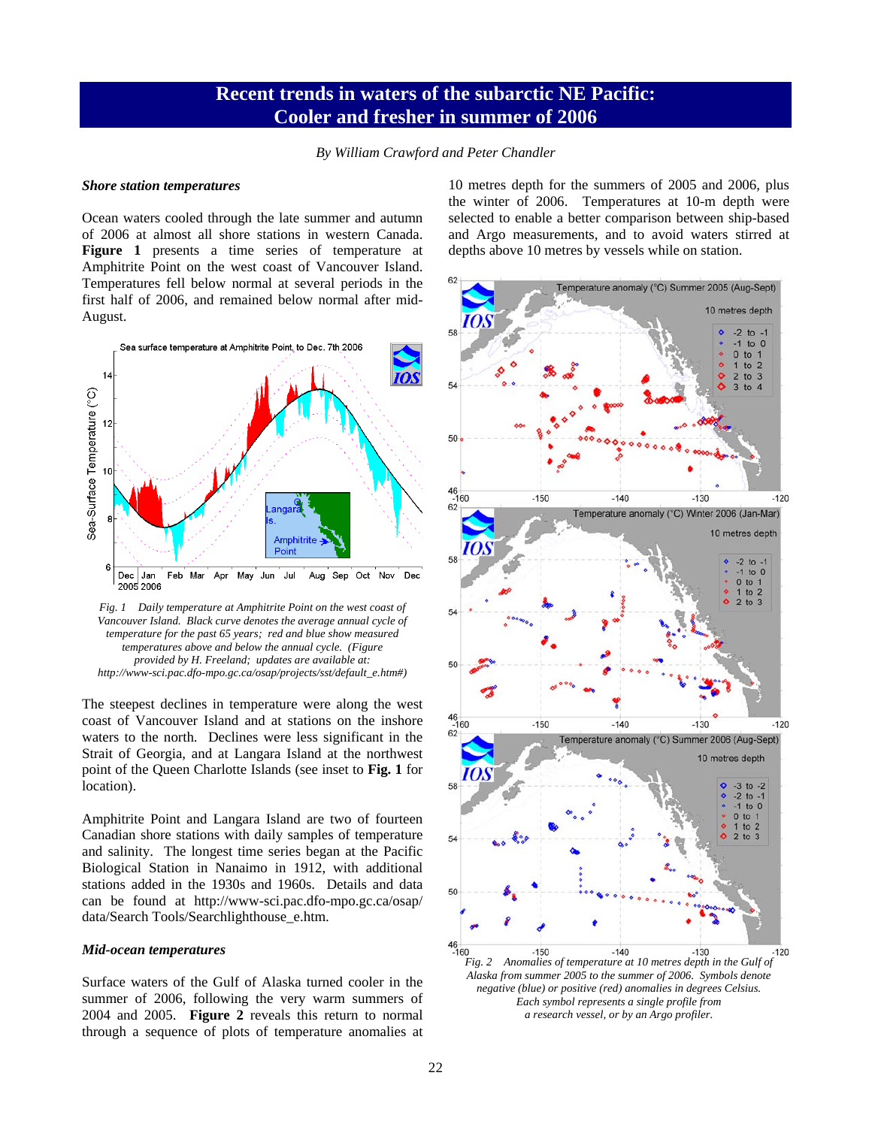## **Recent trends in waters of the subarctic NE Pacific: Cooler and fresher in summer of 2006**

*By William Crawford and Peter Chandler* 

## *Shore station temperatures*

Ocean waters cooled through the late summer and autumn of 2006 at almost all shore stations in western Canada. **Figure 1** presents a time series of temperature at Amphitrite Point on the west coast of Vancouver Island. Temperatures fell below normal at several periods in the first half of 2006, and remained below normal after mid-August.



*Fig. 1 Daily temperature at Amphitrite Point on the west coast of*  Vancouver Island. Black curve denotes the average annual cycle of *temperature for the past 65 years; red and blue show measured temperatures above and below the annual cycle. (Figure provided by H. Freeland; updates are available at: http://www-sci.pac.dfo-mpo.gc.ca/osap/projects/sst/default\_e.htm#)* 

The steepest declines in temperature were along the west coast of Vancouver Island and at stations on the inshore waters to the north. Declines were less significant in the Strait of Georgia, and at Langara Island at the northwest point of the Queen Charlotte Islands (see inset to **Fig. 1** for location).

Amphitrite Point and Langara Island are two of fourteen Canadian shore stations with daily samples of temperature and salinity. The longest time series began at the Pacific Biological Station in Nanaimo in 1912, with additional stations added in the 1930s and 1960s. Details and data can be found at http://www-sci.pac.dfo-mpo.gc.ca/osap/ data/Search Tools/Searchlighthouse\_e.htm.

## *Mid-ocean temperatures*

Surface waters of the Gulf of Alaska turned cooler in the summer of 2006, following the very warm summers of 2004 and 2005. **Figure 2** reveals this return to normal through a sequence of plots of temperature anomalies at 10 metres depth for the summers of 2005 and 2006, plus the winter of 2006. Temperatures at 10-m depth were selected to enable a better comparison between ship-based and Argo measurements, and to avoid waters stirred at depths above 10 metres by vessels while on station.



*negative (blue) or positive (red) anomalies in degrees Celsius. Each symbol represents a single profile from a research vessel, or by an Argo profiler.*